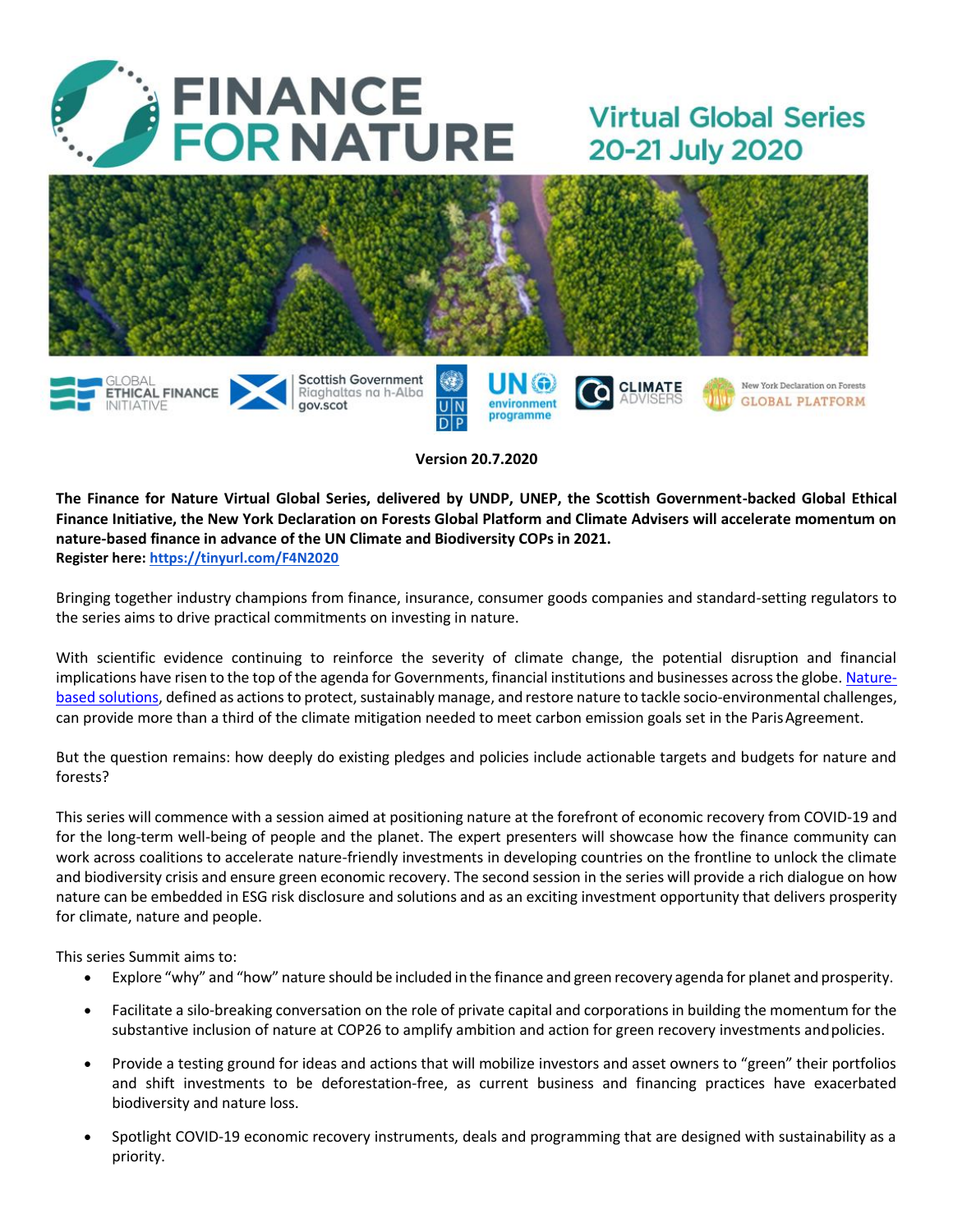

gov.scot

# **Virtual Global Series** 20-21 July 2020



UN

**Version 20.7.2020**

environment

programme

**The Finance for Nature Virtual Global Series, delivered by UNDP, UNEP, the Scottish Government-backed Global Ethical Finance Initiative, the New York Declaration on Forests Global Platform and Climate Advisers will accelerate momentum on nature-based finance in advance of the UN Climate and Biodiversity COPs in 2021. Register here:<https://tinyurl.com/F4N2020>**

Bringing together industry champions from finance, insurance, consumer goods companies and standard-setting regulators to the series aims to drive practical commitments on investing in nature.

With scientific evidence continuing to reinforce the severity of climate change, the potential disruption and financial implications have risen to the top of the agenda for Governments, financial institutions and businesses across the globe. [Nature](https://www.iucn.org/nature-based-solutions/about)based [solutions,](https://www.iucn.org/nature-based-solutions/about) defined as actions to protect, sustainably manage, and restore nature to tackle socio-environmental challenges, can provide more than a third of the climate mitigation needed to meet carbon emission goals set in the ParisAgreement.

But the question remains: how deeply do existing pledges and policies include actionable targets and budgets for nature and forests?

This series will commence with a session aimed at positioning nature at the forefront of economic recovery from COVID-19 and for the long-term well-being of people and the planet. The expert presenters will showcase how the finance community can work across coalitions to accelerate nature-friendly investments in developing countries on the frontline to unlock the climate and biodiversity crisis and ensure green economic recovery. The second session in the series will provide a rich dialogue on how nature can be embedded in ESG risk disclosure and solutions and as an exciting investment opportunity that delivers prosperity for climate, nature and people.

This series Summit aims to:

- Explore "why" and "how" nature should be included in the finance and green recovery agenda for planet and prosperity.
- Facilitate a silo-breaking conversation on the role of private capital and corporationsin building the momentum for the substantive inclusion of nature at COP26 to amplify ambition and action for green recovery investments andpolicies.
- Provide a testing ground for ideas and actions that will mobilize investors and asset owners to "green" their portfolios and shift investments to be deforestation-free, as current business and financing practices have exacerbated biodiversity and nature loss.
- Spotlight COVID-19 economic recovery instruments, deals and programming that are designed with sustainability as a priority.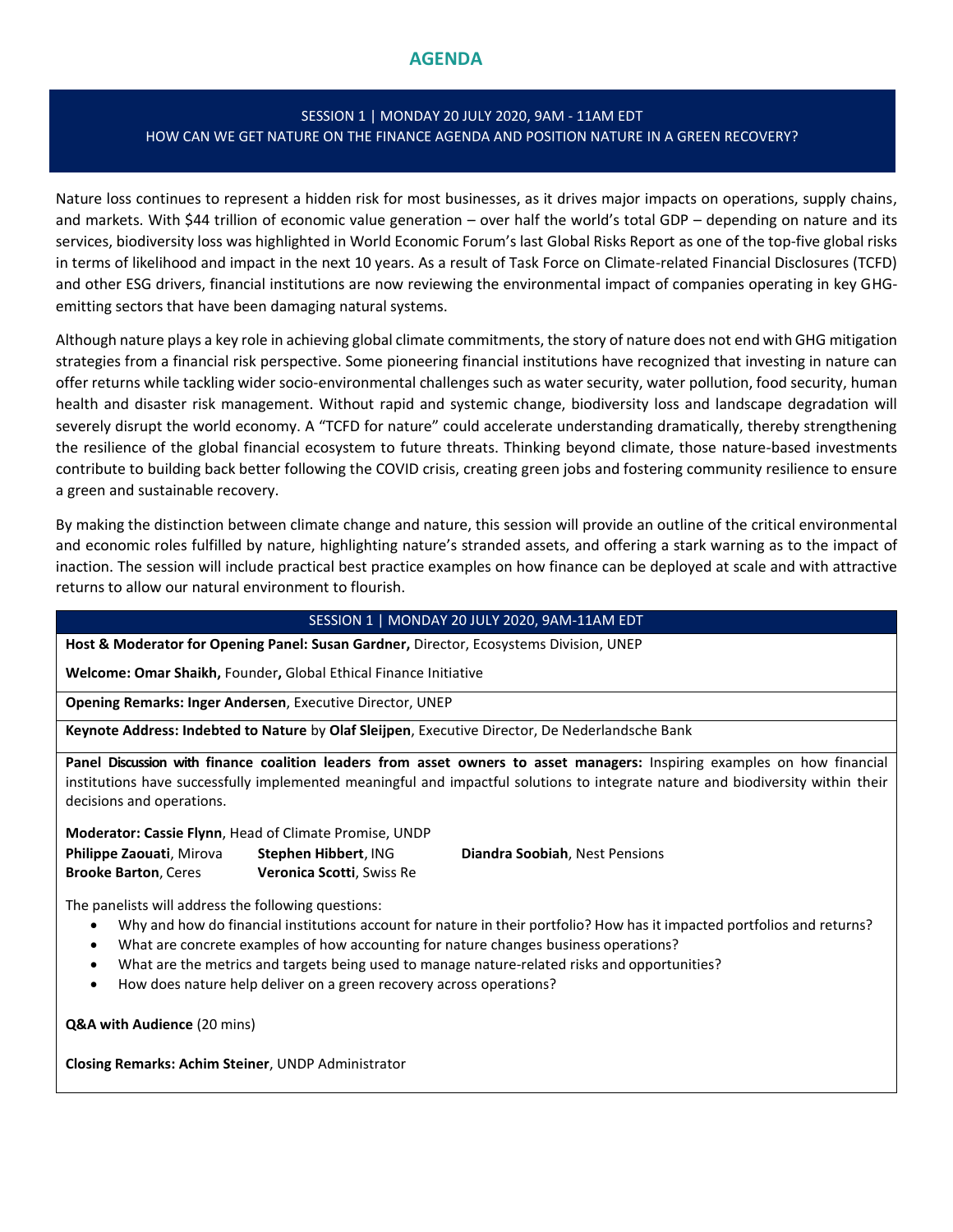# **AGENDA**

### SESSION 1 | MONDAY 20 JULY 2020, 9AM - 11AM EDT HOW CAN WE GET NATURE ON THE FINANCE AGENDA AND POSITION NATURE IN A GREEN RECOVERY?

Nature loss continues to represent a hidden risk for most businesses, as it drives major impacts on operations, supply chains, and markets. With \$44 trillion of economic value generation – over half the world's total GDP – depending on nature and its services, biodiversity loss was highlighted in World Economic Forum's last Global Risks Report as one of the top-five global risks in terms of likelihood and impact in the next 10 years. As a result of Task Force on Climate-related Financial Disclosures (TCFD) and other ESG drivers, financial institutions are now reviewing the environmental impact of companies operating in key GHGemitting sectors that have been damaging natural systems.

Although nature plays a key role in achieving global climate commitments, the story of nature does not end with GHG mitigation strategies from a financial risk perspective. Some pioneering financial institutions have recognized that investing in nature can offer returns while tackling wider socio-environmental challenges such as water security, water pollution, food security, human health and disaster risk management. Without rapid and systemic change, biodiversity loss and landscape degradation will severely disrupt the world economy. A "TCFD for nature" could accelerate understanding dramatically, thereby strengthening the resilience of the global financial ecosystem to future threats. Thinking beyond climate, those nature-based investments contribute to building back better following the COVID crisis, creating green jobs and fostering community resilience to ensure a green and sustainable recovery.

By making the distinction between climate change and nature, this session will provide an outline of the critical environmental and economic roles fulfilled by nature, highlighting nature's stranded assets, and offering a stark warning as to the impact of inaction. The session will include practical best practice examples on how finance can be deployed at scale and with attractive returns to allow our natural environment to flourish.

#### SESSION 1 | MONDAY 20 JULY 2020, 9AM-11AM EDT

**Host & Moderator for Opening Panel: Susan Gardner,** Director, Ecosystems Division, UNEP

**Welcome: Omar Shaikh,** Founder**,** Global Ethical Finance Initiative

**Opening Remarks: Inger Andersen**, Executive Director, UNEP

**Keynote Address: Indebted to Nature** by **Olaf Sleijpen**, Executive Director, De Nederlandsche Bank

**Panel Discussion with finance coalition leaders from asset owners to asset managers:** Inspiring examples on how financial institutions have successfully implemented meaningful and impactful solutions to integrate nature and biodiversity within their decisions and operations.

**Moderator: Cassie Flynn**, Head of Climate Promise, UNDP

**Philippe Zaouati**, Mirova **Stephen Hibbert**, ING **Diandra Soobiah**, Nest Pensions **Brooke Barton**, Ceres **Veronica Scotti**, Swiss Re

The panelists will address the following questions:

- Why and how do financial institutions account for nature in their portfolio? How has it impacted portfolios and returns?
- What are concrete examples of how accounting for nature changes business operations?
- What are the metrics and targets being used to manage nature-related risks and opportunities?
- How does nature help deliver on a green recovery across operations?

**Q&A with Audience** (20 mins)

**Closing Remarks: Achim Steiner**, UNDP Administrator